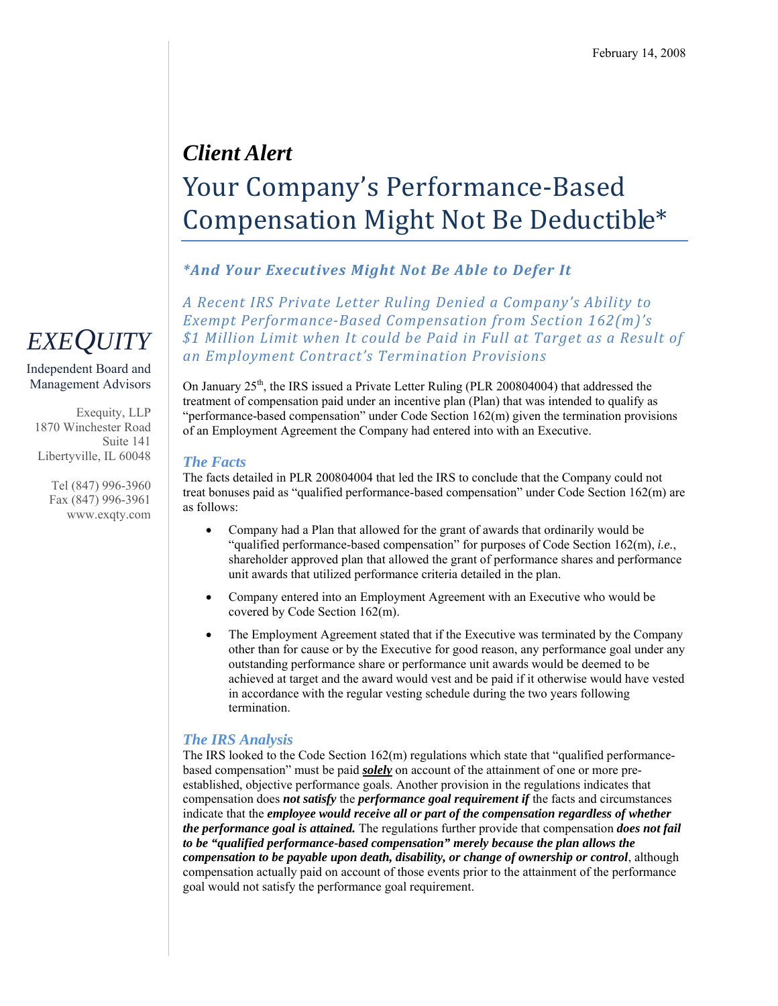## *Client Alert*  Your Company's Performance‐Based Compensation Might Not Be Deductible\*

### *\*And Your Executives Might Not Be Able to Defer It*

*A Recent IRS Private Letter Ruling Denied a Company's Ability to Exempt PerformanceBased Compensation from Section 162(m)'s \$1 Million Limit when It could be Paid in Full at Target as a Result of an Employment Contract's Termination Provisions*

On January  $25<sup>th</sup>$ , the IRS issued a Private Letter Ruling (PLR 200804004) that addressed the treatment of compensation paid under an incentive plan (Plan) that was intended to qualify as "performance-based compensation" under Code Section 162(m) given the termination provisions of an Employment Agreement the Company had entered into with an Executive.

#### *The Facts*

The facts detailed in PLR 200804004 that led the IRS to conclude that the Company could not treat bonuses paid as "qualified performance-based compensation" under Code Section 162(m) are as follows:

- Company had a Plan that allowed for the grant of awards that ordinarily would be "qualified performance-based compensation" for purposes of Code Section 162(m), *i.e.*, shareholder approved plan that allowed the grant of performance shares and performance unit awards that utilized performance criteria detailed in the plan.
- Company entered into an Employment Agreement with an Executive who would be covered by Code Section 162(m).
- The Employment Agreement stated that if the Executive was terminated by the Company other than for cause or by the Executive for good reason, any performance goal under any outstanding performance share or performance unit awards would be deemed to be achieved at target and the award would vest and be paid if it otherwise would have vested in accordance with the regular vesting schedule during the two years following termination.

### *The IRS Analysis*

The IRS looked to the Code Section  $162(m)$  regulations which state that "qualified performancebased compensation" must be paid *solely* on account of the attainment of one or more preestablished, objective performance goals. Another provision in the regulations indicates that compensation does *not satisfy* the *performance goal requirement if* the facts and circumstances indicate that the *employee would receive all or part of the compensation regardless of whether the performance goal is attained.* The regulations further provide that compensation *does not fail to be "qualified performance-based compensation" merely because the plan allows the compensation to be payable upon death, disability, or change of ownership or control*, although compensation actually paid on account of those events prior to the attainment of the performance goal would not satisfy the performance goal requirement.

# *EXEQUITY*

Independent Board and Management Advisors

Exequity, LLP 1870 Winchester Road Suite 141 Libertyville, IL 60048

> Tel (847) 996-3960 Fax (847) 996-3961 www.exqty.com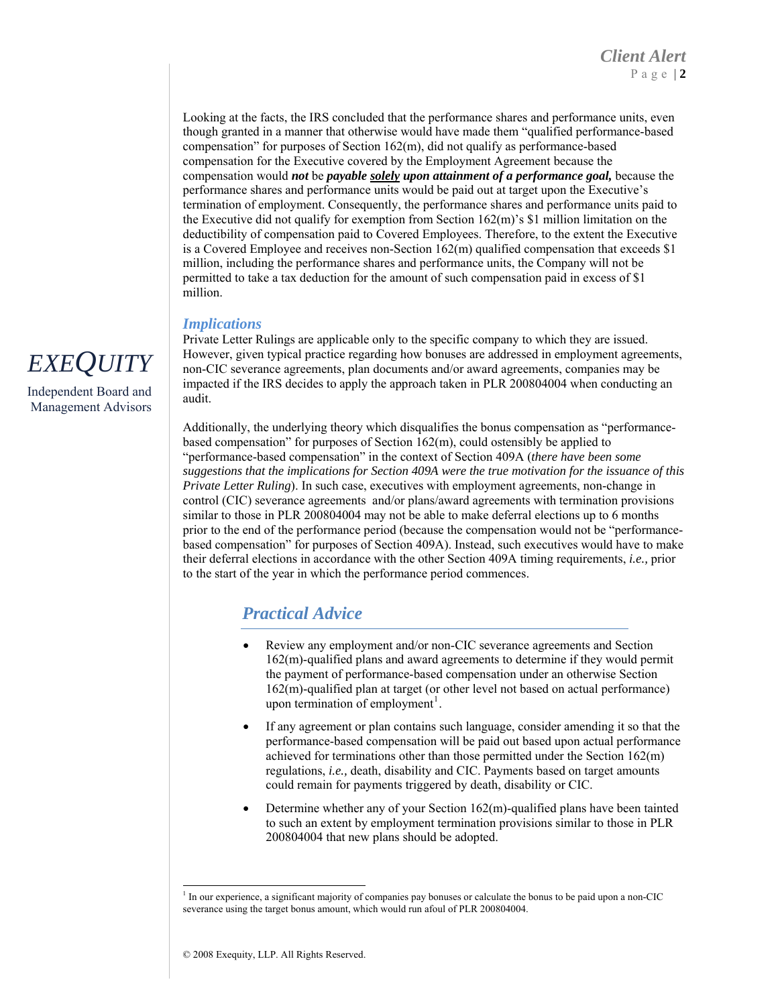Looking at the facts, the IRS concluded that the performance shares and performance units, even though granted in a manner that otherwise would have made them "qualified performance-based compensation" for purposes of Section 162(m), did not qualify as performance-based compensation for the Executive covered by the Employment Agreement because the compensation would *not* be *payable solely upon attainment of a performance goal,* because the performance shares and performance units would be paid out at target upon the Executive's termination of employment. Consequently, the performance shares and performance units paid to the Executive did not qualify for exemption from Section 162(m)'s \$1 million limitation on the deductibility of compensation paid to Covered Employees. Therefore, to the extent the Executive is a Covered Employee and receives non-Section  $162(m)$  qualified compensation that exceeds \$1 million, including the performance shares and performance units, the Company will not be permitted to take a tax deduction for the amount of such compensation paid in excess of \$1 million.

### *Implications*

Private Letter Rulings are applicable only to the specific company to which they are issued. However, given typical practice regarding how bonuses are addressed in employment agreements, non-CIC severance agreements, plan documents and/or award agreements, companies may be impacted if the IRS decides to apply the approach taken in PLR 200804004 when conducting an audit.

Additionally, the underlying theory which disqualifies the bonus compensation as "performancebased compensation" for purposes of Section 162(m), could ostensibly be applied to "performance-based compensation" in the context of Section 409A (*there have been some suggestions that the implications for Section 409A were the true motivation for the issuance of this Private Letter Ruling*). In such case, executives with employment agreements, non-change in control (CIC) severance agreements and/or plans/award agreements with termination provisions similar to those in PLR 200804004 may not be able to make deferral elections up to 6 months prior to the end of the performance period (because the compensation would not be "performancebased compensation" for purposes of Section 409A). Instead, such executives would have to make their deferral elections in accordance with the other Section 409A timing requirements, *i.e.,* prior to the start of the year in which the performance period commences.

### *Practical Advice*

- Review any employment and/or non-CIC severance agreements and Section 162(m)-qualified plans and award agreements to determine if they would permit the payment of performance-based compensation under an otherwise Section 162(m)-qualified plan at target (or other level not based on actual performance) upon termination of employment<sup>[1](#page-1-0)</sup>.
- If any agreement or plan contains such language, consider amending it so that the performance-based compensation will be paid out based upon actual performance achieved for terminations other than those permitted under the Section 162(m) regulations, *i.e.,* death, disability and CIC. Payments based on target amounts could remain for payments triggered by death, disability or CIC.
- Determine whether any of your Section  $162(m)$ -qualified plans have been tainted to such an extent by employment termination provisions similar to those in PLR 200804004 that new plans should be adopted.



Independent Board and Management Advisors

<span id="page-1-0"></span><sup>-</sup><sup>1</sup> In our experience, a significant majority of companies pay bonuses or calculate the bonus to be paid upon a non-CIC severance using the target bonus amount, which would run afoul of PLR 200804004.